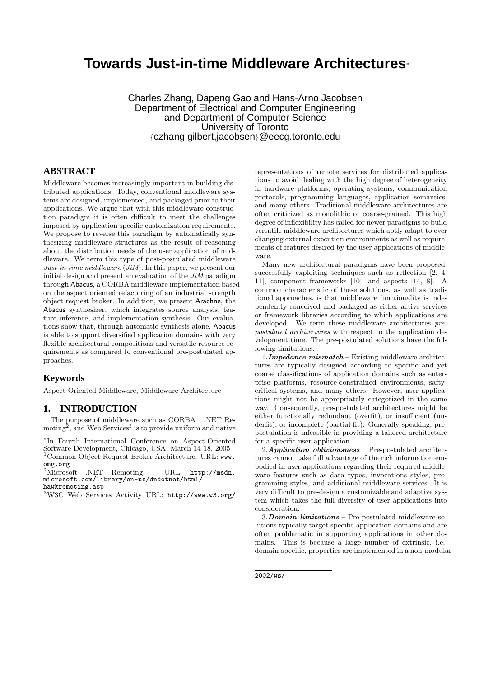# **Towards Just-in-time Middleware Architectures**<sup>∗</sup>

Charles Zhang, Dapeng Gao and Hans-Arno Jacobsen Department of Electrical and Computer Engineering and Department of Computer Science University of Toronto {czhang,gilbert,jacobsen}@eecg.toronto.edu

# **ABSTRACT**

Middleware becomes increasingly important in building distributed applications. Today, conventional middleware systems are designed, implemented, and packaged prior to their applications. We argue that with this middleware construction paradigm it is often difficult to meet the challenges imposed by application specific customization requirements. We propose to reverse this paradigm by automatically synthesizing middleware structures as the result of reasoning about the distribution needs of the user application of middleware. We term this type of post-postulated middleware Just-in-time middleware (JiM). In this paper, we present our initial design and present an evaluation of the JiM paradigm through Abacus, a CORBA middleware implementation based on the aspect oriented refactoring of an industrial strength object request broker. In addition, we present Arachne, the Abacus synthesizer, which integrates source analysis, feature inference, and implementation synthesis. Our evaluations show that, through automatic synthesis alone, Abacus is able to support diversified application domains with very flexible architectural compositions and versatile resource requirements as compared to conventional pre-postulated approaches.

#### **Keywords**

Aspect Oriented Middleware, Middleware Architecture

# **1. INTRODUCTION**

The purpose of middleware such as  $CORBA<sup>1</sup>$ , .NET Remoting<sup>2</sup>, and Web Services<sup>3</sup> is to provide uniform and native

<sup>2</sup>Microsoft .NET Remoting. URL: http://msdn. microsoft.com/library/en-us/dndotnet/html/ hawkremoting.asp

<sup>3</sup>W3C Web Services Activity URL: http://www.w3.org/

representations of remote services for distributed applications to avoid dealing with the high degree of heterogeneity in hardware platforms, operating systems, communication protocols, programming languages, application semantics, and many others. Traditional middleware architectures are often criticized as monolithic or coarse-grained. This high degree of inflexibility has called for newer paradigms to build versatile middleware architectures which aptly adapt to ever changing external execution environments as well as requirements of features desired by the user applications of middleware.

Many new architectural paradigms have been proposed, successfully exploiting techniques such as reflection [2, 4, 11], component frameworks [10], and aspects [14, 8]. A common characteristic of these solutions, as well as traditional approaches, is that middleware functionality is independently conceived and packaged as either active services or framework libraries according to which applications are developed. We term these middleware architectures prepostulated architectures with respect to the application development time. The pre-postulated solutions have the following limitations:

1. Impedance mismatch – Existing middleware architectures are typically designed according to specific and yet coarse classifications of application domains such as enterprise platforms, resource-constrained environments, saftycritical systems, and many others. However, user applications might not be appropriately categorized in the same way. Consequently, pre-postulated architectures might be either functionally redundant (overfit), or insufficient (underfit), or incomplete (partial fit). Generally speaking, prepostulation is infeasible in providing a tailored architecture for a specific user application.

2.Application obliviousness – Pre-postulated architectures cannot take full advantage of the rich information embodied in user applications regarding their required middleware features such as data types, invocations styles, programming styles, and additional middleware services. It is very difficult to pre-design a customizable and adaptive system which takes the full diversity of user applications into consideration.

3.Domain limitations – Pre-postulated middleware solutions typically target specific application domains and are often problematic in supporting applications in other domains. This is because a large number of extrinsic, i.e., domain-specific, properties are implemented in a non-modular

2002/ws/

<sup>∗</sup> In Fourth International Conference on Aspect-Oriented Software Development, Chicago, USA, March 14-18, 2005 <sup>1</sup>Common Object Request Broker Architecture. URL: www. omg.org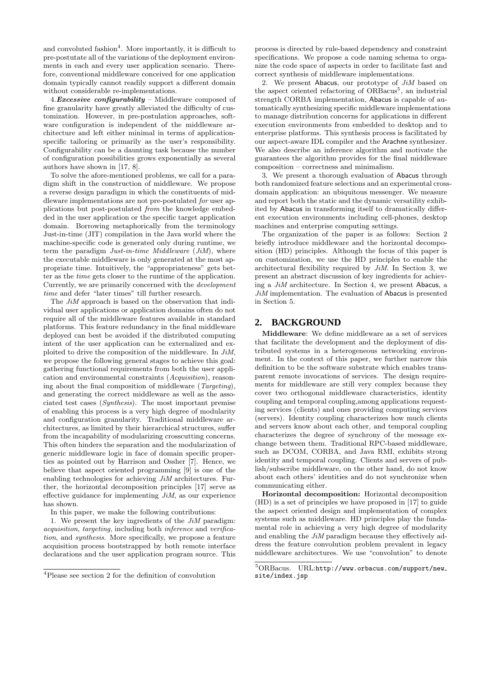and convoluted fashion<sup>4</sup>. More importantly, it is difficult to pre-postutate all of the variations of the deployment environments in each and every user application scenario. Therefore, conventional middleware conceived for one application domain typically cannot readily support a different domain without considerable re-implementations.

4. Excessive configurability – Middleware composed of fine granularity have greatly alleviated the difficulty of customization. However, in pre-postulation approaches, software configuration is independent of the middleware architecture and left either minimal in terms of applicationspecific tailoring or primarily as the user's responsibility. Configurability can be a daunting task because the number of configuration possibilities grows exponentially as several authors have shown in [17, 8].

To solve the afore-mentioned problems, we call for a paradigm shift in the construction of middleware. We propose a reverse design paradigm in which the constituents of middleware implementations are not pre-postulated for user applications but post-postulated from the knowledge embedded in the user application or the specific target application domain. Borrowing metaphorically from the terminology Just-in-time (JIT) compilation in the Java world where the machine-specific code is generated only during runtime, we term the paradigm  $Just-in-time$  Middleware  $(JiM)$ , where the executable middleware is only generated at the most appropriate time. Intuitively, the "appropriateness" gets better as the time gets closer to the runtime of the application. Currently, we are primarily concerned with the development time and defer "later times" till further research.

The JiM approach is based on the observation that individual user applications or application domains often do not require all of the middleware features available in standard platforms. This feature redundancy in the final middleware deployed can best be avoided if the distributed computing intent of the user application can be externalized and exploited to drive the composition of the middleware. In JiM, we propose the following general stages to achieve this goal: gathering functional requirements from both the user application and environmental constraints (Acquisition), reasoning about the final composition of middleware (Targeting), and generating the correct middleware as well as the associated test cases (Synthesis). The most important premise of enabling this process is a very high degree of modularity and configuration granularity. Traditional middleware architectures, as limited by their hierarchical structures, suffer from the incapability of modularizing crosscutting concerns. This often hinders the separation and the modularization of generic middleware logic in face of domain specific properties as pointed out by Harrison and Ossher [7]. Hence, we believe that aspect oriented programming [9] is one of the enabling technologies for achieving JiM architectures. Further, the horizontal decomposition principles [17] serve as effective guidance for implementing  $J_iM$ , as our experience has shown.

In this paper, we make the following contributions:

1. We present the key ingredients of the  $J_iM$  paradigm: acquisition, targeting, including both inference and verification, and synthesis. More specifically, we propose a feature acquisition process bootstrapped by both remote interface declarations and the user application program source. This

process is directed by rule-based dependency and constraint specifications. We propose a code naming schema to organize the code space of aspects in order to facilitate fast and correct synthesis of middleware implementations.

2. We present Abacus, our prototype of  $J_iM$  based on the aspect oriented refactoring of ORBacus<sup>5</sup>, an industrial strength CORBA implementation, Abacus is capable of automatically synthesizing specific middleware implementations to manage distribution concerns for applications in different execution environments from embedded to desktop and to enterprise platforms. This synthesis process is facilitated by our aspect-aware IDL compiler and the Arachne synthesizer. We also describe an inference algorithm and motivate the guarantees the algorithm provides for the final middleware composition – correctness and minimalism.

3. We present a thorough evaluation of Abacus through both randomized feature selections and an experimental crossdomain application: an ubiquitous messenger. We measure and report both the static and the dynamic versatility exhibited by Abacus in transforming itself to dramatically different execution environments including cell-phones, desktop machines and enterprise computing settings.

The organization of the paper is as follows: Section 2 briefly introduce middleware and the horizontal decomposition (HD) principles. Although the focus of this paper is on customization, we use the HD principles to enable the architectural flexibility required by  $J_iM$ . In Section 3, we present an abstract discussion of key ingredients for achieving a JiM architecture. In Section 4, we present Abacus, a  $J_iM$  implementation. The evaluation of Abacus is presented in Section 5.

### **2. BACKGROUND**

Middleware: We define middleware as a set of services that facilitate the development and the deployment of distributed systems in a heterogeneous networking environment. In the context of this paper, we further narrow this definition to be the software substrate which enables transparent remote invocations of services. The design requirements for middleware are still very complex because they cover two orthogonal middleware characteristics, identity coupling and temporal coupling,among applications requesting services (clients) and ones providing computing services (servers). Identity coupling characterizes how much clients and servers know about each other, and temporal coupling characterizes the degree of synchrony of the message exchange between them. Traditional RPC-based middleware, such as DCOM, CORBA, and Java RMI, exhibits strong identity and temporal coupling. Clients and servers of publish/subscribe middleware, on the other hand, do not know about each others' identities and do not synchronize when communicating either.

Horizontal decomposition: Horizontal decomposition (HD) is a set of principles we have proposed in [17] to guide the aspect oriented design and implementation of complex systems such as middleware. HD principles play the fundamental role in achieving a very high degree of modularity and enabling the  $J_iM$  paradigm because they effectively address the feature convolution problem prevalent in legacy middleware architectures. We use "convolution" to denote

<sup>4</sup>Please see section 2 for the definition of convolution

 ${\rm ^5ORBacus.~ \; URL: http://www.orbacus.com/support/news\_$ site/index.jsp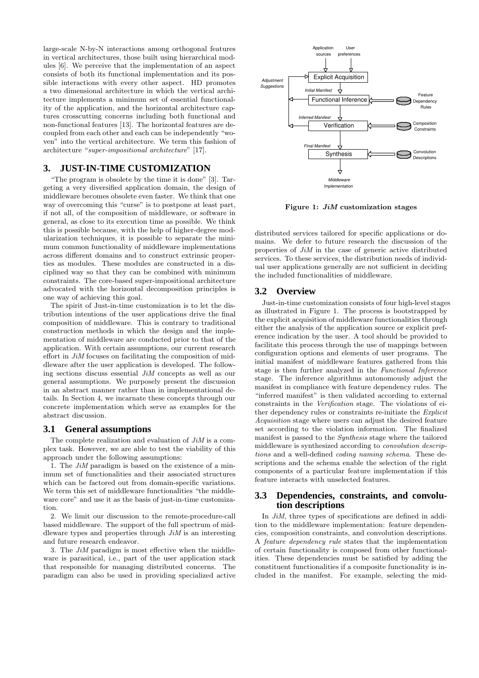large-scale N-by-N interactions among orthogonal features in vertical architectures, those built using hierarchical modules [6]. We perceive that the implementation of an aspect consists of both its functional implementation and its possible interactions with every other aspect. HD promotes a two dimensional architecture in which the vertical architecture implements a minimum set of essential functionality of the application, and the horizontal architecture captures crosscutting concerns including both functional and non-functional features [13]. The horizontal features are decoupled from each other and each can be independently "woven" into the vertical architecture. We term this fashion of architecture "super-impositional architecture" [17].

# **3. JUST-IN-TIME CUSTOMIZATION**

"The program is obsolete by the time it is done" [3]. Targeting a very diversified application domain, the design of middleware becomes obsolete even faster. We think that one way of overcoming this "curse" is to postpone at least part, if not all, of the composition of middleware, or software in general, as close to its execution time as possible. We think this is possible because, with the help of higher-degree modularization techniques, it is possible to separate the minimum common functionality of middleware implementations across different domains and to construct extrinsic properties as modules. These modules are constructed in a disciplined way so that they can be combined with minimum constraints. The core-based super-impositional architecture advocated with the horizontal decomposition principles is one way of achieving this goal.

The spirit of Just-in-time customization is to let the distribution intentions of the user applications drive the final composition of middleware. This is contrary to traditional construction methods in which the design and the implementation of middleware are conducted prior to that of the application. With certain assumptions, our current research effort in JiM focuses on facilitating the composition of middleware after the user application is developed. The following sections discuss essential JiM concepts as well as our general assumptions. We purposely present the discussion in an abstract manner rather than in implementational details. In Section 4, we incarnate these concepts through our concrete implementation which serve as examples for the abstract discussion.

# **3.1 General assumptions**

The complete realization and evaluation of  $J_iM$  is a complex task. However, we are able to test the viability of this approach under the following assumptions:

1. The JiM paradigm is based on the existence of a minimum set of functionalities and their associated structures which can be factored out from domain-specific variations. We term this set of middleware functionalities "the middleware core" and use it as the basis of just-in-time customization.

2. We limit our discussion to the remote-procedure-call based middleware. The support of the full spectrum of middleware types and properties through  $J_iM$  is an interesting and future research endeavor.

3. The JiM paradigm is most effective when the middleware is parasitical, i.e., part of the user application stack that responsible for managing distributed concerns. The paradigm can also be used in providing specialized active



Figure 1: JiM customization stages

distributed services tailored for specific applications or domains. We defer to future research the discussion of the properties of  $J_iM$  in the case of generic active distributed services. To these services, the distribution needs of individual user applications generally are not sufficient in deciding the included functionalities of middleware.

# **3.2 Overview**

Just-in-time customization consists of four high-level stages as illustrated in Figure 1. The process is bootstrapped by the explicit acquisition of middleware functionalities through either the analysis of the application source or explicit preference indication by the user. A tool should be provided to facilitate this process through the use of mappings between configuration options and elements of user programs. The initial manifest of middleware features gathered from this stage is then further analyzed in the Functional Inference stage. The inference algorithms autonomously adjust the manifest in compliance with feature dependency rules. The "inferred manifest" is then validated according to external constraints in the Verification stage. The violations of either dependency rules or constraints re-initiate the Explicit Acquisition stage where users can adjust the desired feature set according to the violation information. The finalized manifest is passed to the Synthesis stage where the tailored middleware is synthesized according to convolution descriptions and a well-defined coding naming schema. These descriptions and the schema enable the selection of the right components of a particular feature implementation if this feature interacts with unselected features.

### **3.3 Dependencies, constraints, and convolution descriptions**

In *JiM*, three types of specifications are defined in addition to the middleware implementation: feature dependencies, composition constraints, and convolution descriptions. A feature dependency rule states that the implementation of certain functionality is composed from other functionalities. These dependencies must be satisfied by adding the constituent functionalities if a composite functionality is included in the manifest. For example, selecting the mid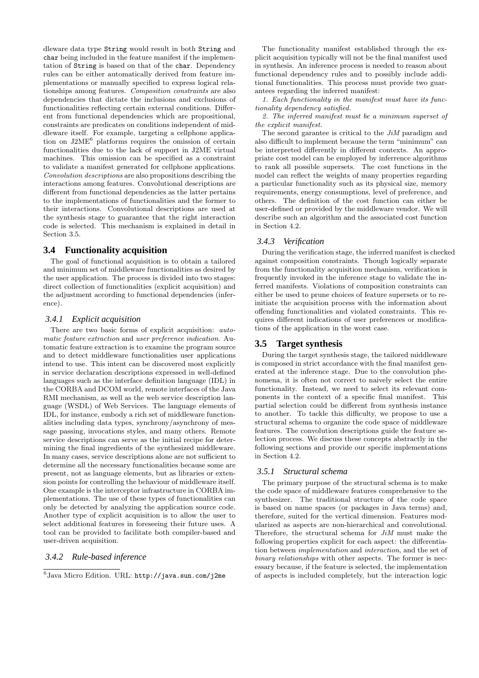dleware data type String would result in both String and char being included in the feature manifest if the implementation of String is based on that of the char. Dependency rules can be either automatically derived from feature implementations or manually specified to express logical relationships among features. Composition constraints are also dependencies that dictate the inclusions and exclusions of functionalities reflecting certain external conditions. Different from functional dependencies which are propositional, constraints are predicates on conditions independent of middleware itself. For example, targeting a cellphone application on J2ME<sup>6</sup> platforms requires the omission of certain functionalities due to the lack of support in J2ME virtual machines. This omission can be specified as a constraint to validate a manifest generated for cellphone applications. Convolution descriptions are also propositions describing the interactions among features. Convolutional descriptions are different from functional dependencies as the latter pertains to the implementations of functionalities and the former to their interactions. Convolutional descriptions are used at the synthesis stage to guarantee that the right interaction code is selected. This mechanism is explained in detail in Section 3.5.

# **3.4 Functionality acquisition**

The goal of functional acquisition is to obtain a tailored and minimum set of middleware functionalities as desired by the user application. The process is divided into two stages: direct collection of functionalities (explicit acquisition) and the adjustment according to functional dependencies (inference).

#### *3.4.1 Explicit acquisition*

There are two basic forms of explicit acquisition: automatic feature extraction and user preference indication. Automatic feature extraction is to examine the program source and to detect middleware functionalities user applications intend to use. This intent can be discovered most explicitly in service declaration descriptions expressed in well-defined languages such as the interface definition language (IDL) in the CORBA and DCOM world, remote interfaces of the Java RMI mechanism, as well as the web service description language (WSDL) of Web Services. The language elements of IDL, for instance, embody a rich set of middleware functionalities including data types, synchrony/asynchrony of message passing, invocations styles, and many others. Remote service descriptions can serve as the initial recipe for determining the final ingredients of the synthesized middleware. In many cases, service descriptions alone are not sufficient to determine all the necessary functionalities because some are present, not as language elements, but as libraries or extension points for controlling the behaviour of middleware itself. One example is the interceptor infrastructure in CORBA implementations. The use of these types of functionalities can only be detected by analyzing the application source code. Another type of explicit acquisition is to allow the user to select additional features in foreseeing their future uses. A tool can be provided to facilitate both compiler-based and user-driven acquisition.

### *3.4.2 Rule-based inference*

The functionality manifest established through the explicit acquisition typically will not be the final manifest used in synthesis. An inference process is needed to reason about functional dependency rules and to possibly include additional functionalities. This process must provide two guarantees regarding the inferred manifest:

1. Each functionality in the manifest must have its functionality dependency satisfied.

2. The inferred manifest must be a minimum superset of the explicit manifest.

The second garantee is critical to the JiM paradigm and also difficult to implement because the term "minimum" can be interpreted differently in different contexts. An appropriate cost model can be employed by inferrence algorithms to rank all possible supersets. The cost functions in the model can reflect the weights of many properties regarding a particular functionality such as its physical size, memory requirements, energy consumptions, level of preference, and others. The definition of the cost function can either be user-defined or provided by the middleware vendor. We will describe such an algorithm and the associated cost function in Section 4.2.

# *3.4.3 Verification*

During the verification stage, the inferred manifest is checked against composition constraints. Though logically separate from the functionality acquisition mechanism, verification is frequently invoked in the inference stage to validate the inferred manifests. Violations of composition constraints can either be used to prune choices of feature supersets or to reinitiate the acquisition process with the information about offending functionalities and violated constraints. This requires different indications of user preferences or modifications of the application in the worst case.

#### **3.5 Target synthesis**

During the target synthesis stage, the tailored middleware is composed in strict accordance with the final manifest generated at the inference stage. Due to the convolution phenomena, it is often not correct to naively select the entire functionality. Instead, we need to select its relevant components in the context of a specific final manifest. This partial selection could be different from synthesis instance to another. To tackle this difficulty, we propose to use a structural schema to organize the code space of middleware features. The convolution descriptions guide the feature selection process. We discuss these concepts abstractly in the following sections and provide our specific implementations in Section 4.2.

#### *3.5.1 Structural schema*

The primary purpose of the structural schema is to make the code space of middleware features comprehensive to the synthesizer. The traditional structure of the code space is based on name spaces (or packages in Java terms) and, therefore, suited for the vertical dimension. Features modularized as aspects are non-hierarchical and convolutional. Therefore, the structural schema for JiM must make the following properties explicit for each aspect: the differentiation between implementation and interaction, and the set of binary relationships with other aspects. The former is necessary because, if the feature is selected, the implementation of aspects is included completely, but the interaction logic

 $^6$ Java Micro Edition. URL: <code>http://java.sun.com/j2me</code>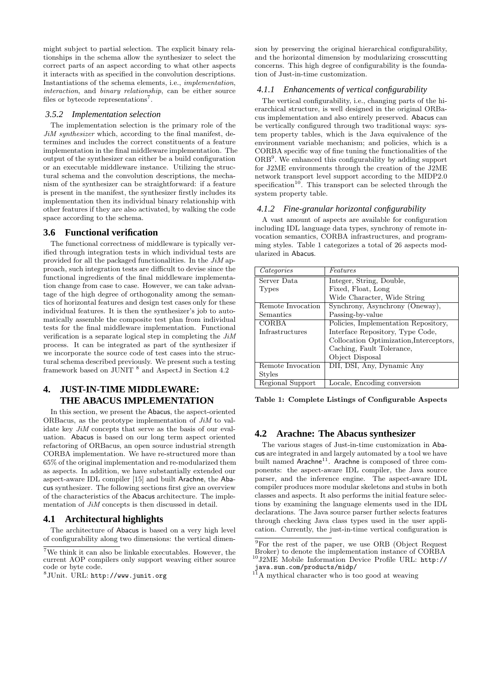might subject to partial selection. The explicit binary relationships in the schema allow the synthesizer to select the correct parts of an aspect according to what other aspects it interacts with as specified in the convolution descriptions. Instantiations of the schema elements, i.e., implementation, interaction, and binary relationship, can be either source files or bytecode representations<sup>7</sup>.

#### *3.5.2 Implementation selection*

The implementation selection is the primary role of the JiM synthesizer which, according to the final manifest, determines and includes the correct constituents of a feature implementation in the final middleware implementation. The output of the synthesizer can either be a build configuration or an executable middleware instance. Utilizing the structural schema and the convolution descriptions, the mechanism of the synthesizer can be straightforward: if a feature is present in the manifest, the synthesizer firstly includes its implementation then its individual binary relationship with other features if they are also activated, by walking the code space according to the schema.

# **3.6 Functional verification**

The functional correctness of middleware is typically verified through integration tests in which individual tests are provided for all the packaged functionalities. In the  $J_iM$  approach, such integration tests are difficult to devise since the functional ingredients of the final middleware implementation change from case to case. However, we can take advantage of the high degree of orthogonality among the semantics of horizontal features and design test cases only for these individual features. It is then the synthesizer's job to automatically assemble the composite test plan from individual tests for the final middleware implementation. Functional verification is a separate logical step in completing the JiM process. It can be integrated as part of the synthesizer if we incorporate the source code of test cases into the structural schema described previously. We present such a testing framework based on JUNIT<sup>8</sup> and AspectJ in Section 4.2

# **4. JUST-IN-TIME MIDDLEWARE: THE ABACUS IMPLEMENTATION**

In this section, we present the Abacus, the aspect-oriented ORBacus, as the prototype implementation of  $J_iM$  to validate key JiM concepts that serve as the basis of our evaluation. Abacus is based on our long term aspect oriented refactoring of ORBacus, an open source industrial strength CORBA implementation. We have re-structured more than 65% of the original implementation and re-modularized them as aspects. In addition, we have substantially extended our aspect-aware IDL compiler [15] and built Arachne, the Abacus synthesizer. The following sections first give an overview of the characteristics of the Abacus architecture. The implementation of  $J_iM$  concepts is then discussed in detail.

# **4.1 Architectural highlights**

The architecture of Abacus is based on a very high level of configurability along two dimensions: the vertical dimension by preserving the original hierarchical configurability, and the horizontal dimension by modularizing crosscutting concerns. This high degree of configurability is the foundation of Just-in-time customization.

#### *4.1.1 Enhancements of vertical configurability*

The vertical configurability, i.e., changing parts of the hierarchical structure, is well designed in the original ORBacus implementation and also entirely preserved. Abacus can be vertically configured through two traditional ways: system property tables, which is the Java equivalence of the environment variable mechanism; and policies, which is a CORBA specific way of fine tuning the functionalities of the ORB<sup>9</sup>. We enhanced this configurability by adding support for J2ME environments through the creation of the J2ME network transport level support according to the MIDP2.0 specification<sup>10</sup>. This transport can be selected through the system property table.

#### *4.1.2 Fine-granular horizontal configurability*

A vast amount of aspects are available for configuration including IDL language data types, synchrony of remote invocation semantics, CORBA infrastructures, and programming styles. Table 1 categorizes a total of 26 aspects modularized in Abacus.

| Categories        | Features                                |
|-------------------|-----------------------------------------|
| Server Data       | Integer, String, Double,                |
| Types             | Fixed, Float, Long                      |
|                   | Wide Character, Wide String             |
| Remote Invocation | Synchrony, Asynchrony (Oneway),         |
| Semantics         | Passing-by-value                        |
| CORBA             | Policies, Implementation Repository,    |
| Infrastructures   | Interface Repository, Type Code,        |
|                   | Collocation Optimization, Interceptors, |
|                   | Caching, Fault Tolerance,               |
|                   | Object Disposal                         |
| Remote Invocation | DII, DSI, Any, Dynamic Any              |
| Styles            |                                         |
| Regional Support  | Locale, Encoding conversion             |

Table 1: Complete Listings of Configurable Aspects

# **4.2 Arachne: The Abacus synthesizer**

The various stages of Just-in-time customization in Abacus are integrated in and largely automated by a tool we have built named Arachne<sup>11</sup>. Arachne is composed of three components: the aspect-aware IDL compiler, the Java source parser, and the inference engine. The aspect-aware IDL compiler produces more modular skeletons and stubs in both classes and aspects. It also performs the initial feature selections by examining the language elements used in the IDL declarations. The Java source parser further selects features through checking Java class types used in the user application. Currently, the just-in-time vertical configuration is

 ${\rm ^7We}$  think it can also be linkable executables. However, the current AOP compilers only support weaving either source code or byte code.

 $^8{\rm JUnit.}$  URL: http://www.junit.org

 $\overline{^{9}$ For the rest of the paper, we use ORB (Object Request Broker) to denote the implementation instance of CORBA <sup>10</sup>J2ME Mobile Information Device Profile URL: http://

java.sun.com/products/midp/

<sup>&</sup>lt;sup>11</sup>A mythical character who is too good at weaving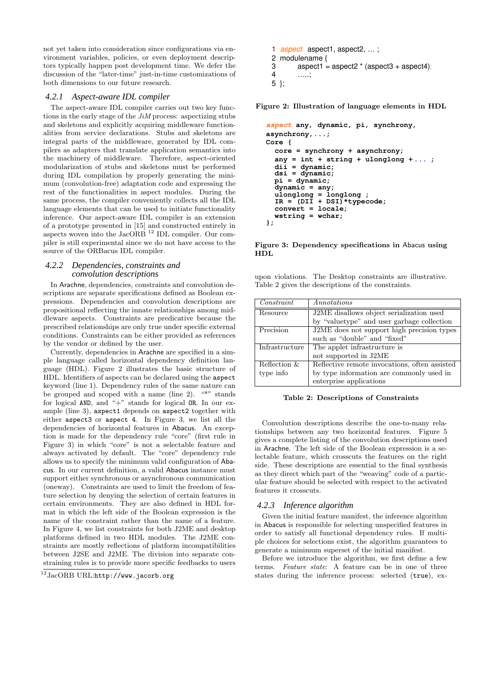not yet taken into consideration since configurations via environment variables, policies, or even deployment descriptors typically happen post development time. We defer the discussion of the "later-time" just-in-time customizations of both dimensions to our future research.

#### *4.2.1 Aspect-aware IDL compiler*

The aspect-aware IDL compiler carries out two key functions in the early stage of the JiM process: aspectizing stubs and skeletons and explicitly acquiring middleware functionalities from service declarations. Stubs and skeletons are integral parts of the middleware, generated by IDL compilers as adapters that translate application semantics into the machinery of middleware. Therefore, aspect-oriented modularization of stubs and skeletons must be performed during IDL compilation by properly generating the minimum (convolution-free) adaptation code and expressing the rest of the functionalities in aspect modules. During the same process, the compiler conveniently collects all the IDL language elements that can be used to initiate functionality inference. Our aspect-aware IDL compiler is an extension of a prototype presented in [15] and constructed entirely in aspects woven into the  $JacORB$  <sup>12</sup> IDL compiler. Our compiler is still experimental since we do not have access to the source of the ORBacus IDL compiler.

#### *4.2.2 Dependencies, constraints and convolution descriptions*

In Arachne, dependencies, constraints and convolution descriptions are separate specifications defined as Boolean expressions. Dependencies and convolution descriptions are propositional reflecting the innate relationships among middleware aspects. Constraints are predicative because the prescribed relationships are only true under specific external conditions. Constraints can be either provided as references by the vendor or defined by the user.

Currently, dependencies in Arachne are specified in a simple language called horizontal dependency definition language (HDL). Figure 2 illustrates the basic structure of HDL. Identifiers of aspects can be declared using the aspect keyword (line 1). Dependency rules of the same nature can be grouped and scoped with a name (line 2). "\*" stands for logical AND, and "+" stands for logical OR. In our example (line 3), aspect1 depends on aspect2 together with either aspect3 or aspect 4. In Figure 3, we list all the dependencies of horizontal features in Abacus. An exception is made for the dependency rule "core" (first rule in Figure 3) in which "core" is not a selectable feature and always activated by default. The "core" dependency rule allows us to specify the minimum valid configuration of Abacus. In our current definition, a valid Abacus instance must support either synchronous or asynchronous communication (oneway). Constraints are used to limit the freedom of feature selection by denying the selection of certain features in certain environments. They are also defined in HDL format in which the left side of the Boolean expression is the name of the constraint rather than the name of a feature. In Figure 4, we list constraints for both J2ME and desktop platforms defined in two HDL modules. The J2ME constraints are mostly reflections of platform incompatibilities between J2SE and J2ME. The division into separate constraining rules is to provide more specific feedbacks to users

```
1 aspect aspect1, aspect2, ...;
2 modulename \{<br>3 aspect1 =
3 \qquad \text{aspect1} = \text{aspect2} \cdot (\text{aspect3} + \text{aspect4})<br>4
           4
 …..;

5 };
```
Figure 2: Illustration of language elements in HDL

```
aspect
 any, dynamic, pi, synchrony,

asynchrony,...;

Core {

   core = synchrony + asynchrony;

  any = int + string + ulonglong + ...; dii = dynamic;

   dsi = dynamic;

   pi = dynamic;

   dynamic = any;

 ulonglong = longlong ;

 IR = (DII + DSI)*typecode;

   convert = locale;

   wstring = wchar;

};
```
Figure 3: Dependency specifications in Abacus using HDL

upon violations. The Desktop constraints are illustrative. Table 2 gives the descriptions of the constraints.

| Constant       | <i>Annotations</i>                            |
|----------------|-----------------------------------------------|
| Resource       | J2ME disallows object serialization used      |
|                | by "valuetype" and user garbage collection    |
| Precision      | J2ME does not support high precision types    |
|                | such as "double" and "fixed"                  |
| Infrastructure | The applet infrastructure is                  |
|                | not supported in J2ME                         |
| Reflection &   | Reflective remote invocations, often assisted |
| type info      | by type information are commonly used in      |
|                | enterprise applications                       |

#### Table 2: Descriptions of Constraints

Convolution descriptions describe the one-to-many relationships between any two horizontal features. Figure 5 gives a complete listing of the convolution descriptions used in Arachne. The left side of the Boolean expression is a selectable feature, which crosscuts the features on the right side. These descriptions are essential to the final synthesis as they direct which part of the "weaving" code of a particular feature should be selected with respect to the activated features it crosscuts.

#### *4.2.3 Inference algorithm*

Given the initial feature manifest, the inference algorithm in Abacus is responsible for selecting unspecified features in order to satisfy all functional dependency rules. If multiple choices for selections exist, the algorithm guarantees to generate a minimum superset of the initial manifest.

Before we introduce the algorithm, we first define a few terms. Feature state: A feature can be in one of three states during the inference process: selected (true), ex-

 $^{12}\text{JacORB}$  URL:http://www.jacorb.org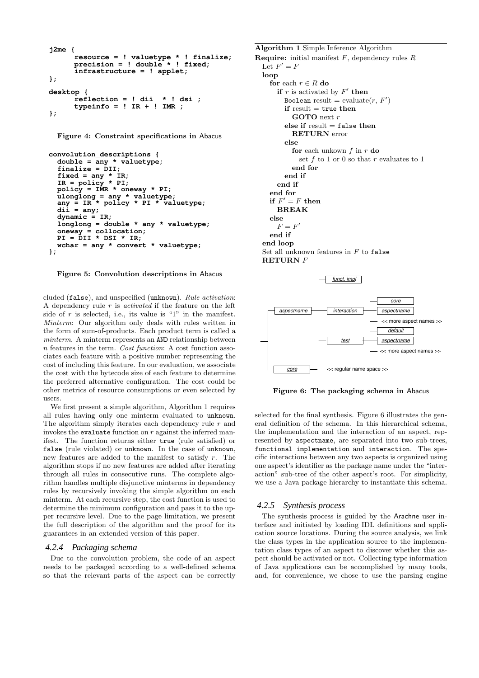```
j2me {

      resource = ! valuetype * ! finalize;

      precision = ! double * ! fixed;

      infrastructure = ! applet;

};

desktop {

      reflection = ! dii * ! dsi ;

      typeinfo = ! IR + ! IMR ;

};
```
Figure 4: Constraint specifications in Abacus

```
convolution_descriptions {

   double = any * valuetype;

   finalize = DII;

  fixed = any * IR; IR = policy * PI;

   policy = IMR * oneway * PI;

 ulonglong = any * valuetype;

 any = IR * policy * PI * valuetype;

 dii = any;

 dynamic = IR;

   longlong = double * any * valuetype;

 oneway = collocation;

 PI = DII * DSI * IR;

   wchar = any * convert * valuetype;

};
```
Figure 5: Convolution descriptions in Abacus

cluded (false), and unspecified (unknown). Rule activation: A dependency rule  $r$  is *activated* if the feature on the left side of r is selected, i.e., its value is "1" in the manifest. Minterm: Our algorithm only deals with rules written in the form of sum-of-products. Each product term is called a minterm. A minterm represents an AND relationship between n features in the term. Cost function: A cost function associates each feature with a positive number representing the cost of including this feature. In our evaluation, we associate the cost with the bytecode size of each feature to determine the preferred alternative configuration. The cost could be other metrics of resource consumptions or even selected by users.

We first present a simple algorithm, Algorithm 1 requires all rules having only one minterm evaluated to unknown. The algorithm simply iterates each dependency rule r and invokes the evaluate function on  $r$  against the inferred manifest. The function returns either true (rule satisfied) or false (rule violated) or unknown. In the case of unknown, new features are added to the manifest to satisfy r. The algorithm stops if no new features are added after iterating through all rules in consecutive runs. The complete algorithm handles multiple disjunctive minterms in dependency rules by recursively invoking the simple algorithm on each minterm. At each recursive step, the cost function is used to determine the minimum configuration and pass it to the upper recursive level. Due to the page limitation, we present the full description of the algorithm and the proof for its guarantees in an extended version of this paper.

#### *4.2.4 Packaging schema*

Due to the convolution problem, the code of an aspect needs to be packaged according to a well-defined schema so that the relevant parts of the aspect can be correctly Algorithm 1 Simple Inference Algorithm **Require:** initial manifest  $F$ , dependency rules  $R$ Let  $F' = F$ loop for each  $r \in R$ do if  $r$  is activated by  $F'$  then Boolean result = evaluate $(r, F')$ if result  $=$  true then GOTO next r else if  $result = false$  then RETURN error else for each unkown  $f$  in  $r$  do set f to 1 or 0 so that r evaluates to 1 end for end if end if end for if  $F' = F$  then BREAK else  $F = F'$ end if end loop Set all unknown features in  $F$  to false RETURN F



Figure 6: The packaging schema in Abacus

selected for the final synthesis. Figure 6 illustrates the general definition of the schema. In this hierarchical schema, the implementation and the interaction of an aspect, represented by aspectname, are separated into two sub-trees, functional implementation and interaction. The specific interactions between any two aspects is organized using one aspect's identifier as the package name under the "interaction" sub-tree of the other aspect's root. For simplicity, we use a Java package hierarchy to instantiate this schema.

#### *4.2.5 Synthesis process*

The synthesis process is guided by the Arachne user interface and initiated by loading IDL definitions and application source locations. During the source analysis, we link the class types in the application source to the implementation class types of an aspect to discover whether this aspect should be activated or not. Collecting type information of Java applications can be accomplished by many tools, and, for convenience, we chose to use the parsing engine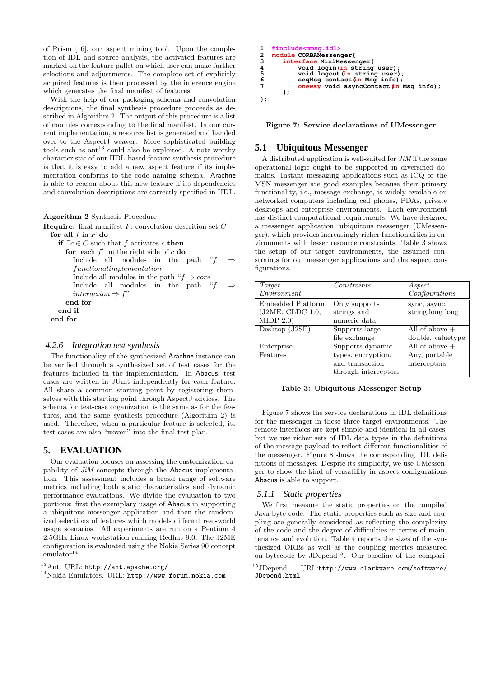of Prism [16], our aspect mining tool. Upon the completion of IDL and source analysis, the activated features are marked on the feature pallet on which user can make further selections and adjustments. The complete set of explicitly acquired features is then processed by the inference engine which generates the final manifest of features.

With the help of our packaging schema and convolution descriptions, the final synthesis procedure proceeds as described in Algorithm 2. The output of this procedure is a list of modules corresponding to the final manifest. In our current implementation, a resource list is generated and handed over to the AspectJ weaver. More sophisticated building tools such as  $art^{13}$  could also be exploited. A note-worthy characteristic of our HDL-based feature synthesis procedure is that it is easy to add a new aspect feature if its implementation conforms to the code naming schema. Arachne is able to reason about this new feature if its dependencies and convolution descriptions are correctly specified in HDL.

| <b>Algorithm 2</b> Synthesis Procedure                              |
|---------------------------------------------------------------------|
| <b>Require:</b> final manifest $F$ , convolution descrition set $C$ |
| for all $f$ in $F$ do                                               |
| if $\exists c \in C$ such that f activates c then                   |
| for each $f'$ on the right side of c do                             |
| Include all modules in the path " $f$<br>$\Rightarrow$              |
| functionalimplementation                                            |
| Include all modules in the path " $f \Rightarrow core$              |
| Include all modules in the path " $f$                               |
| interaction $\Rightarrow f''$                                       |
| end for                                                             |
| end if                                                              |
| end for                                                             |

#### *4.2.6 Integration test synthesis*

The functionality of the synthesized Arachne instance can be verified through a synthesized set of test cases for the features included in the implementation. In Abacus, test cases are written in JUnit independently for each feature. All share a common starting point by registering themselves with this starting point through AspectJ advices. The schema for test-case organization is the same as for the features, and the same synthesis procedure (Algorithm 2) is used. Therefore, when a particular feature is selected, its test cases are also "woven" into the final test plan.

# **5. EVALUATION**

Our evaluation focuses on assessing the customization capability of JiM concepts through the Abacus implementation. This assessment includes a broad range of software metrics including both static characteristics and dynamic performance evaluations. We divide the evaluation to two portions: first the exemplary usage of Abacus in supporting a ubiquitous messenger application and then the randomized selections of features which models different real-world usage scenarios. All experiments are run on a Pentium 4 2.5GHz Linux workstation running Redhat 9.0. The J2ME configuration is evaluated using the Nokia Series 90 concept  $\text{emulator}^{14}.$ 

```
13Ant. URL: http://ant.apache.org/
```

```
14Nokia Emulators. URL: http://www.forum.nokia.com
```

```
1 #include<mmsg.idl><br>2 module CORBAMessen
2 module CORBAMessenger{<br>3 interface MiniMesse
3 interface MiniMessenger<br>
4 void login(in string
4 void login (in string user)<br>
5 void logout (in string user)<br>
6 seaMsg contact (in Msg info)
5 void logout (in string user);<br>6 seqMsg contact (in Msg info);
<sup>7</sup> oneway void asyncContact (in Msg info);
           };

};
```


# **5.1 Ubiquitous Messenger**

A distributed application is well-suited for  $J_iM$  if the same operational logic ought to be supported in diversified domains. Instant messaging applications such as ICQ or the MSN messenger are good examples because their primary functionality, i.e., message exchange, is widely available on networked computers including cell phones, PDAs, private desktops and enterprise environments. Each environment has distinct computational requirements. We have designed a messenger application, ubiquitous messenger (UMessenger), which provides increasingly richer functionalities in environments with lesser resource constraints. Table 3 shows the setup of our target environments, the assumed constraints for our messenger applications and the aspect configurations.

| Target            | Constraints          | Aspect            |
|-------------------|----------------------|-------------------|
| Environment       |                      | Configurations    |
| Embedded Platform | Only supports        | sync, async,      |
| (J2ME, CLDC 1.0,  | strings and          | string, long long |
| MIDP 2.0)         | numeric data         |                   |
| Desktop (J2SE)    | Supports large       | All of above $+$  |
|                   | file exchange        | double, valuetype |
| Enterprise        | Supports dynamic     | All of above $+$  |
| Features          | types, encryption,   | Any, portable     |
|                   | and transaction      | interceptors      |
|                   | through interceptors |                   |

Table 3: Ubiquitous Messenger Setup

Figure 7 shows the service declarations in IDL definitions for the messenger in these three target environments. The remote interfaces are kept simple and identical in all cases, but we use richer sets of IDL data types in the definitions of the message payload to reflect different functionalities of the messenger. Figure 8 shows the corresponding IDL definitions of messages. Despite its simplicity, we use UMessenger to show the kind of versatility in aspect configurations Abacus is able to support.

#### *5.1.1 Static properties*

We first measure the static properties on the compiled Java byte code. The static properties such as size and coupling are generally considered as reflecting the complexity of the code and the degree of difficulties in terms of maintenance and evolution. Table 4 reports the sizes of the synthesized ORBs as well as the coupling metrics measured on bytecode by  $JDepend<sup>15</sup>$ . Our baseline of the compari-

<sup>15</sup>JDepend URL:http://www.clarkware.com/software/ JDepend.html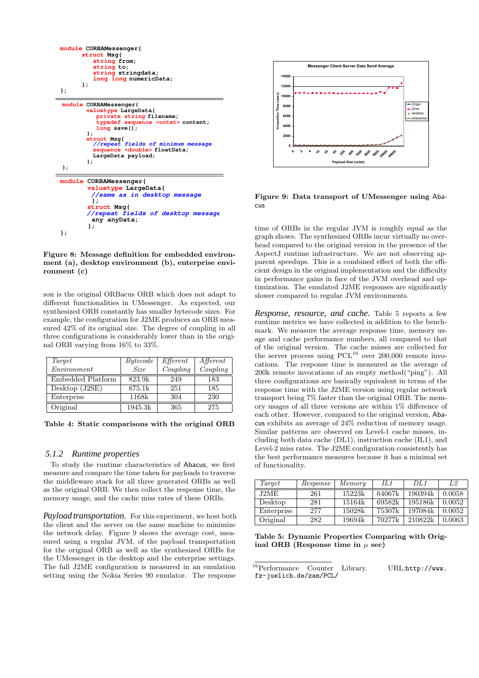

Figure 8: Message definition for embedded environment (a), desktop environment (b), enterprise environment (c)

son is the original ORBacus ORB which does not adapt to different functionalities in UMessenger. As expected, our synthesized ORB constantly has smaller bytecode sizes. For example, the configuration for J2ME produces an ORB measured 42% of its original size. The degree of coupling in all three configurations is considerably lower than in the original ORB varying from 16% to 33%.

| Target            | Bytecode    | $E$ fferent | $A$ fferent |
|-------------------|-------------|-------------|-------------|
| Environment       | <b>Size</b> | Coupling    | Coupling    |
| Embedded Platform | 823.9k      | 249         | 183         |
| Desktop (J2SE)    | 875.1k      | 251         | 185         |
| Enterprise        | 1168k       | 304         | 230         |
| Original          | 1945.3k     | 365         | 275         |

Table 4: Static comparisons with the original ORB

#### *5.1.2 Runtime properties*

To study the runtime characteristics of Abacus, we first measure and compare the time taken for payloads to traverse the middleware stack for all three generated ORBs as well as the original ORB. We then collect the response time, the memory usage, and the cache miss rates of these ORBs.

*Payload transportation.* For this experiment, we host both the client and the server on the same machine to minimize the network delay. Figure 9 shows the average cost, measured using a regular JVM, of the payload transportation for the original ORB as well as the synthesized ORBs for the UMessenger in the desktop and the enterprise settings. The full J2ME configuration is measured in an emulation setting using the Nokia Series 90 emulator. The response



Figure 9: Data transport of UMessenger using Abacus

time of ORBs in the regular JVM is roughly equal as the graph shows. The synthesized ORBs incur virtually no overhead compared to the original version in the presence of the AspectJ runtime infrastructure. We are not observing apparent speedups. This is a combined effect of both the efficient design in the original implementation and the difficulty in performance gains in face of the JVM overhead and optimization. The emulated J2ME responses are significantly slower compared to regular JVM environments.

*Response, resource, and cache.* Table 5 reports a few runtime metrics we have collected in addition to the benchmark. We measure the average response time, memory usage and cache performance numbers, all compared to that of the original version. The cache misses are collected for the server process using  $PCL^{16}$  over 200,000 remote invocations. The response time is measured as the average of 200k remote invocations of an empty method("ping"). All three configurations are basically equivalent in terms of the response time with the J2ME version using regular network transport being 7% faster than the original ORB. The memory usages of all three versions are within 1% difference of each other. However, compared to the original version, Abacus exhibits an average of 24% reduction of memory usage. Similar patterns are observed on Level-1 cache misses, including both data cache (DL1), instruction cache (IL1), and Level-2 miss rates. The J2ME configuration consistently has the best performance measures because it has a minimal set of functionality.

| Target     | Response | Memory | H 1    | DL1     | L2     |
|------------|----------|--------|--------|---------|--------|
| J2ME       | 261      | 15223k | 64067k | 190394k | 0.0058 |
| Desktop    | 281      | 15164k | 69582k | 195186k | 0.0052 |
| Enterprise | 277      | 15028k | 75307k | 197084k | 0.0052 |
| Original   | 282      | 19694k | 70277k | 210822k | 0.0063 |

Table 5: Dynamic Properties Comparing with Original ORB (Response time in  $\mu$  sec)

<sup>16</sup>Performance Counter Library. URL:http://www. fz-juelich.de/zam/PCL/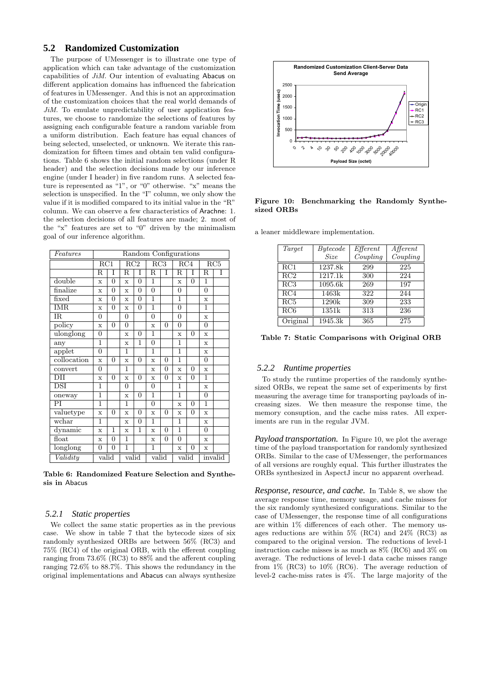# **5.2 Randomized Customization**

The purpose of UMessenger is to illustrate one type of application which can take advantage of the customization capabilities of JiM. Our intention of evaluating Abacus on different application domains has influenced the fabrication of features in UMessenger. And this is not an approximation of the customization choices that the real world demands of JiM. To emulate unpredictability of user application features, we choose to randomize the selections of features by assigning each configurable feature a random variable from a uniform distribution. Each feature has equal chances of being selected, unselected, or unknown. We iterate this randomization for fifteen times and obtain ten valid configurations. Table 6 shows the initial random selections (under R header) and the selection decisions made by our inference engine (under I header) in five random runs. A selected feature is represented as "1", or "0" otherwise. "x" means the selection is unspecified. In the "I" column, we only show the value if it is modified compared to its initial value in the "R" column. We can observe a few characteristics of Arachne: 1. the selection decisions of all features are made; 2. most of the "x" features are set to "0" driven by the minimalism goal of our inference algorithm.

| Features    | Random Configurations |                  |                  |                |                           |                |                  |                |                |         |
|-------------|-----------------------|------------------|------------------|----------------|---------------------------|----------------|------------------|----------------|----------------|---------|
|             | $\overline{RC1}$      |                  | $\overline{RC2}$ |                | $\overline{\mathrm{RC3}}$ |                | $\overline{RC4}$ |                |                | RC5     |
|             | $_{\rm R}$            | T                | $_{\rm R}$       | Ī              | $\overline{\mathrm{R}}$   | Ī              | $_{\rm R}$       | Ī              | $_{\rm R}$     | Ī       |
| double      | $\mathbf x$           | $\overline{0}$   | $\mathbf x$      | $\overline{0}$ | $\overline{1}$            |                | $\mathbf x$      | $\overline{0}$ | 1              |         |
| finalize    | $\mathbf{x}$          | $\overline{0}$   | $\mathbf x$      | $\overline{0}$ | $\overline{0}$            |                | $\overline{0}$   |                | $\overline{0}$ |         |
| fixed       | $\mathbf x$           | 0                | $\mathbf x$      | $\overline{0}$ | $\overline{1}$            |                | $\mathbf{1}$     |                | $\mathbf x$    |         |
| <b>IMR</b>  | $\mathbf x$           | $\boldsymbol{0}$ | $\mathbf x$      | $\overline{0}$ | $\overline{1}$            |                | $\overline{0}$   |                | 1              |         |
| IR.         | 0                     |                  | 0                |                | $\overline{0}$            |                | $\overline{0}$   |                | $\mathbf x$    |         |
| policy      | $\mathbf x$           | $\overline{0}$   | 0                |                | $\bar{x}$                 | $\overline{0}$ | $\overline{0}$   |                | $\overline{0}$ |         |
| ulonglong   | 0                     |                  | $\bar{x}$        | $\overline{0}$ | 1                         |                | $\mathbf x$      | $\overline{0}$ | $\mathbf x$    |         |
| any         | 1                     |                  | $\mathbf x$      | 1              | $\overline{0}$            |                | 1                |                | $\mathbf x$    |         |
| applet      | 0                     |                  | $\overline{1}$   |                | $\overline{1}$            |                | $\overline{1}$   |                | $\mathbf x$    |         |
| collocation | $\mathbf x$           | $\overline{0}$   | $\mathbf x$      | $\overline{0}$ | $\mathbf x$               | $\overline{0}$ | $\overline{1}$   |                | $\overline{0}$ |         |
| convert     | 0                     |                  | $\overline{1}$   |                | $\mathbf x$               | $\overline{0}$ | $\mathbf x$      | $\overline{0}$ | $\mathbf x$    |         |
| DII         | $\mathbf x$           | $\overline{0}$   | $\mathbf x$      | $\overline{0}$ | $\mathbf x$               | $\overline{0}$ | $\mathbf x$      | $\overline{0}$ | $\mathbf{1}$   |         |
| DSI         | 1                     |                  | 0                |                | $\overline{0}$            |                | 1                |                | $\mathbf x$    |         |
| oneway      | 1                     |                  | $\mathbf x$      | $\overline{0}$ | $\overline{1}$            |                | $\overline{1}$   |                | $\overline{0}$ |         |
| PI          | 1                     |                  | 1                |                | $\overline{0}$            |                | $\mathbf x$      | $\Omega$       | 1              |         |
| valuetype   | $\mathbf x$           | $\overline{0}$   | $\mathbf x$      | $\overline{0}$ | $\mathbf x$               | $\overline{0}$ | $\mathbf x$      | $\overline{0}$ | $\mathbf x$    |         |
| wchar       | 1                     |                  | $\mathbf x$      | $\overline{0}$ | 1                         |                | 1                |                | X              |         |
| dynamic     | $\mathbf x$           | 1                | $\mathbf x$      | $\overline{1}$ | $\mathbf x$               | $\overline{0}$ | $\mathbf{1}$     |                | $\overline{0}$ |         |
| float       | $\mathbf x$           | $\overline{0}$   | 1                |                | $\mathbf x$               | $\overline{0}$ | $\overline{0}$   |                | $\mathbf x$    |         |
| longlong    | 0                     | $\boldsymbol{0}$ | 1                |                | $\mathbf{1}$              |                | $\mathbf x$      | 0              | $\mathbf x$    |         |
| Validity    | valid                 |                  | valid            |                | valid                     |                | valid            |                |                | invalid |

Table 6: Randomized Feature Selection and Synthesis in Abacus

#### *5.2.1 Static properties*

We collect the same static properties as in the previous case. We show in table 7 that the bytecode sizes of six randomly synthesized ORBs are between 56% (RC3) and 75% (RC4) of the original ORB, with the efferent coupling ranging from 73.6% (RC3) to 88% and the afferent coupling ranging 72.6% to 88.7%. This shows the redundancy in the original implementations and Abacus can always synthesize



Figure 10: Benchmarking the Randomly Synthesized ORBs

a leaner middleware implementation.

| Target   | Bytecode    | Effect   | $\overline{A}$ fferent |
|----------|-------------|----------|------------------------|
|          | <b>Size</b> | Coupling | Coupling               |
| RC1      | 1237.8k     | 299      | 225                    |
| RC2      | 1217.1k     | 300      | 224                    |
| RC3      | 1095.6k     | 269      | 197                    |
| RC4      | 1463k       | 322      | 244                    |
| RC5      | 1290k       | 309      | 233                    |
| RC6      | 1351k       | 313      | 236                    |
| Original | 1945.3k     | 365      | 275                    |

Table 7: Static Comparisons with Original ORB

#### *5.2.2 Runtime properties*

To study the runtime properties of the randomly synthesized ORBs, we repeat the same set of experiments by first measuring the average time for transporting payloads of increasing sizes. We then measure the response time, the memory consuption, and the cache miss rates. All experiments are run in the regular JVM.

*Payload transportation.* In Figure 10, we plot the average time of the payload transportation for randomly synthesized ORBs. Similar to the case of UMessenger, the performances of all versions are roughly equal. This further illustrates the ORBs synthesized in AspectJ incur no apparent overhead.

*Response, resource, and cache.* In Table 8, we show the average response time, memory usage, and cache misses for the six randomly synthesized configurations. Similar to the case of UMessenger, the response time of all configurations are within 1% differences of each other. The memory usages reductions are within 5% (RC4) and 24% (RC3) as compared to the original version. The reductions of level-1 instruction cache misses is as much as 8% (RC6) and 3% on average. The reductions of level-1 data cache misses range from 1% (RC3) to 10% (RC6). The average reduction of level-2 cache-miss rates is 4%. The large majority of the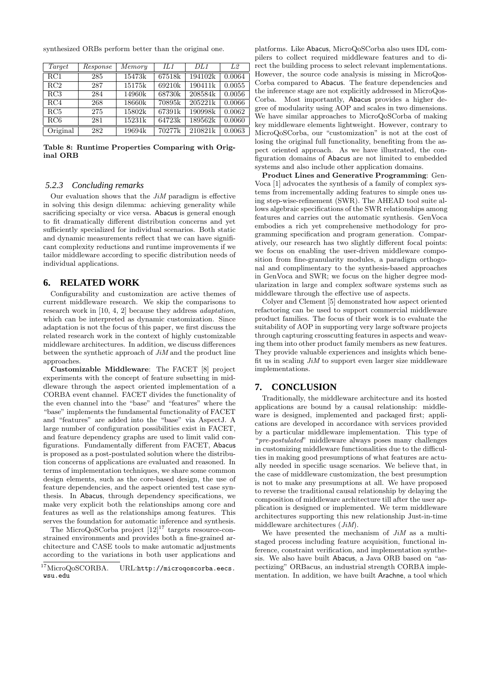| Target           | Response | Memory | IL1    | DL1     | L2     |
|------------------|----------|--------|--------|---------|--------|
| $\overline{RC}1$ | 285      | 15473k | 67518k | 194102k | 0.0064 |
| RC2              | 287      | 15175k | 69210k | 190411k | 0.0055 |
| RC3              | 284      | 14960k | 68730k | 208584k | 0.0056 |
| RC4              | 268      | 18660k | 70895k | 205221k | 0.0066 |
| RC <sub>5</sub>  | 275      | 15802k | 67391k | 190998k | 0.0062 |
| RC6              | 281      | 15231k | 64723k | 189562k | 0.0060 |
| Original         | 282      | 19694k | 70277k | 210821k | 0.0063 |

synthesized ORBs perform better than the original one.

Table 8: Runtime Properties Comparing with Original ORB

#### *5.2.3 Concluding remarks*

Our evaluation shows that the  $J_iM$  paradigm is effective in solving this design dilemma: achieving generality while sacrificing specialty or vice versa. Abacus is general enough to fit dramatically different distribution concerns and yet sufficiently specialized for individual scenarios. Both static and dynamic measurements reflect that we can have significant complexity reductions and runtime improvements if we tailor middleware according to specific distribution needs of individual applications.

# **6. RELATED WORK**

Configurability and customization are active themes of current middleware research. We skip the comparisons to research work in [10, 4, 2] because they address adaptation, which can be interpreted as dynamic customization. Since adaptation is not the focus of this paper, we first discuss the related research work in the context of highly customizable middleware architectures. In addition, we discuss differences between the synthetic approach of  $J_iM$  and the product line approaches.

Customizable Middleware: The FACET [8] project experiments with the concept of feature subsetting in middleware through the aspect oriented implementation of a CORBA event channel. FACET divides the functionality of the even channel into the "base" and "features" where the "base" implements the fundamental functionality of FACET and "features" are added into the "base" via AspectJ. A large number of configuration possibilities exist in FACET, and feature dependency graphs are used to limit valid configurations. Fundamentally different from FACET, Abacus is proposed as a post-postulated solution where the distribution concerns of applications are evaluated and reasoned. In terms of implementation techniques, we share some common design elements, such as the core-based design, the use of feature dependencies, and the aspect oriented test case synthesis. In Abacus, through dependency specifications, we make very explicit both the relationships among core and features as well as the relationships among features. This serves the foundation for automatic inference and synthesis.

The MicroQoSCorba project  $[12]^{17}$  targets resource-constrained environments and provides both a fine-grained architecture and CASE tools to make automatic adjustments according to the variations in both user applications and

platforms. Like Abacus, MicroQoSCorba also uses IDL compilers to collect required middleware features and to direct the building process to select relevant implementations. However, the source code analysis is missing in MicroQos-Corba compared to Abacus. The feature dependencies and the inference stage are not explicitly addressed in MicroQos-Corba. Most importantly, Abacus provides a higher degree of modularity using AOP and scales in two dimensions. We have similar approaches to MicroQoSCorba of making key middleware elements lightweight. However, contrary to MicroQoSCorba, our "customization" is not at the cost of losing the original full functionality, benefiting from the aspect oriented approach. As we have illustrated, the configuration domains of Abacus are not limited to embedded systems and also include other application domains.

Product Lines and Generative Programming: Gen-Voca [1] advocates the synthesis of a family of complex systems from incrementally adding features to simple ones using step-wise-refinement (SWR). The AHEAD tool suite allows algebraic specifications of the SWR relationships among features and carries out the automatic synthesis. GenVoca embodies a rich yet comprehensive methodology for programming specification and program generation. Comparatively, our research has two slightly different focal points: we focus on enabling the user-driven middleware composition from fine-granularity modules, a paradigm orthogonal and complimentary to the synthesis-based approaches in GenVoca and SWR; we focus on the higher degree modularization in large and complex software systems such as middleware through the effective use of aspects.

Colyer and Clement [5] demonstrated how aspect oriented refactoring can be used to support commercial middleware product families. The focus of their work is to evaluate the suitability of AOP in supporting very large software projects through capturing crosscutting features in aspects and weaving them into other product family members as new features. They provide valuable experiences and insights which benefit us in scaling  $J_iM$  to support even larger size middleware implementations.

# **7. CONCLUSION**

Traditionally, the middleware architecture and its hosted applications are bound by a causal relationship: middleware is designed, implemented and packaged first; applications are developed in accordance with services provided by a particular middleware implementation. This type of "pre-postulated" middleware always poses many challenges in customizing middleware functionalities due to the difficulties in making good presumptions of what features are actually needed in specific usage scenarios. We believe that, in the case of middleware customization, the best presumption is not to make any presumptions at all. We have proposed to reverse the traditional causal relationship by delaying the composition of middleware architecture till after the user application is designed or implemented. We term middleware architectures supporting this new relationship Just-in-time middleware architectures (JiM).

We have presented the mechanism of  $J_iM$  as a multistaged process including feature acquisition, functional inference, constraint verification, and implementation synthesis. We also have built Abacus, a Java ORB based on "aspectizing" ORBacus, an industrial strength CORBA implementation. In addition, we have built Arachne, a tool which

 $^{17}$ MicroQoSCORBA. URL:http://microqoscorba.eecs. wsu.edu